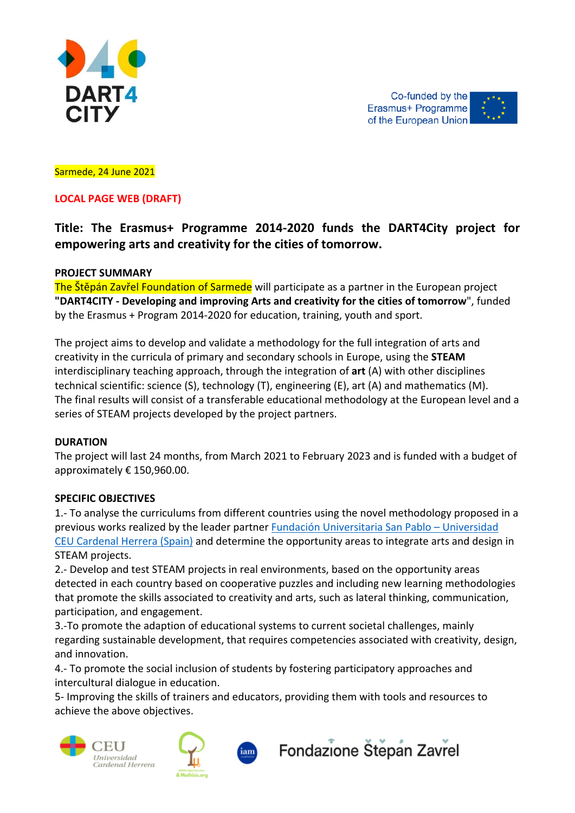

Co-funded by the Erasmus+ Programme of the European Union

#### Sarmede, 24 June 2021

# **LOCAL PAGE WEB (DRAFT)**

# **Title: The Erasmus+ Programme 2014‐2020 funds the DART4City project for empowering arts and creativity for the cities of tomorrow.**

#### **PROJECT SUMMARY**

The Štěpán Zavřel Foundation of Sarmede will participate as a partner in the European project **"DART4CITY ‐ Developing and improving Arts and creativity for the cities of tomorrow**", funded by the Erasmus + Program 2014‐2020 for education, training, youth and sport.

The project aims to develop and validate a methodology for the full integration of arts and creativity in the curricula of primary and secondary schools in Europe, using the **STEAM** interdisciplinary teaching approach, through the integration of **art** (A) with other disciplines technical scientific: science (S), technology (T), engineering (E), art (A) and mathematics (M). The final results will consist of a transferable educational methodology at the European level and a series of STEAM projects developed by the project partners.

#### **DURATION**

The project will last 24 months, from March 2021 to February 2023 and is funded with a budget of approximately € 150,960.00.

#### **SPECIFIC OBJECTIVES**

1.‐ To analyse the curriculums from different countries using the novel methodology proposed in a previous works realized by the leader partner Fundación Universitaria San Pablo – Universidad CEU Cardenal Herrera (Spain) and determine the opportunity areas to integrate arts and design in STEAM projects.

2.‐ Develop and test STEAM projects in real environments, based on the opportunity areas detected in each country based on cooperative puzzles and including new learning methodologies that promote the skills associated to creativity and arts, such as lateral thinking, communication, participation, and engagement.

3.‐To promote the adaption of educational systems to current societal challenges, mainly regarding sustainable development, that requires competencies associated with creativity, design, and innovation.

4.‐ To promote the social inclusion of students by fostering participatory approaches and intercultural dialogue in education.

5‐ Improving the skills of trainers and educators, providing them with tools and resources to achieve the above objectives.





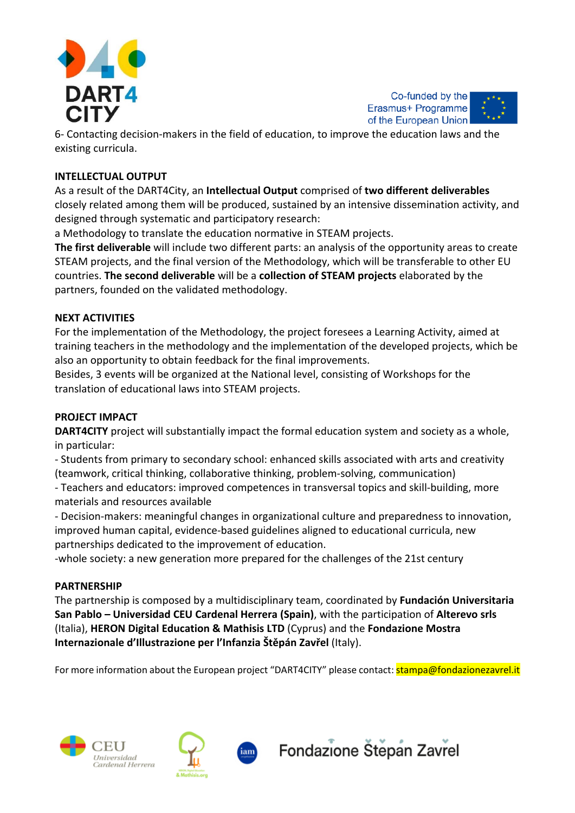



6‐ Contacting decision‐makers in the field of education, to improve the education laws and the existing curricula.

# **INTELLECTUAL OUTPUT**

As a result of the DART4City, an **Intellectual Output** comprised of **two different deliverables** closely related among them will be produced, sustained by an intensive dissemination activity, and designed through systematic and participatory research:

a Methodology to translate the education normative in STEAM projects.

**The first deliverable** will include two different parts: an analysis of the opportunity areas to create STEAM projects, and the final version of the Methodology, which will be transferable to other EU countries. **The second deliverable** will be a **collection of STEAM projects** elaborated by the partners, founded on the validated methodology.

# **NEXT ACTIVITIES**

For the implementation of the Methodology, the project foresees a Learning Activity, aimed at training teachers in the methodology and the implementation of the developed projects, which be also an opportunity to obtain feedback for the final improvements.

Besides, 3 events will be organized at the National level, consisting of Workshops for the translation of educational laws into STEAM projects.

# **PROJECT IMPACT**

**DART4CITY** project will substantially impact the formal education system and society as a whole, in particular:

‐ Students from primary to secondary school: enhanced skills associated with arts and creativity (teamwork, critical thinking, collaborative thinking, problem‐solving, communication)

‐ Teachers and educators: improved competences in transversal topics and skill‐building, more materials and resources available

‐ Decision‐makers: meaningful changes in organizational culture and preparedness to innovation, improved human capital, evidence‐based guidelines aligned to educational curricula, new partnerships dedicated to the improvement of education.

‐whole society: a new generation more prepared for the challenges of the 21st century

# **PARTNERSHIP**

The partnership is composed by a multidisciplinary team, coordinated by **Fundación Universitaria San Pablo – Universidad CEU Cardenal Herrera (Spain)**, with the participation of **Alterevo srls** (Italia), **HERON Digital Education & Mathisis LTD** (Cyprus) and the **Fondazione Mostra Internazionale d'Illustrazione per l'Infanzia Štěpán Zavřel** (Italy).

For more information about the European project "DART4CITY" please contact: stampa@fondazionezavrel.it





iam